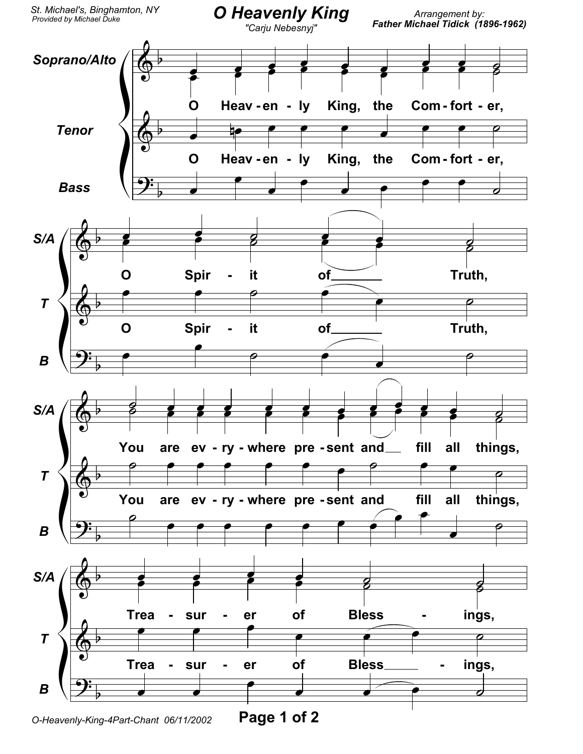

*O-Heavenly-King-4Part-Chant 06/11/2002* **Page 1 of 2**